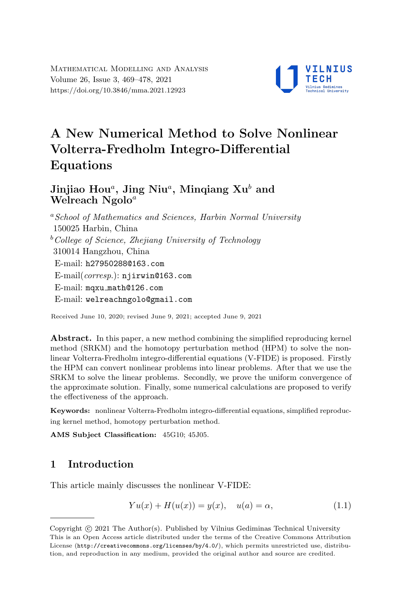

# A New Numerical Method to Solve Nonlinear Volterra-Fredholm Integro-Differential Equations

## Jinjiao Hou $^a$ , Jing Niu $^a$ , Minqiang Xu $^b$  and Welreach  $Ngolo<sup>a</sup>$

<sup>a</sup> School of Mathematics and Sciences, Harbin Normal University 150025 Harbin, China  $b$ <sup>b</sup>College of Science, Zhejiang University of Technology 310014 Hangzhou, China E-mail: [h27950288@163.com](mailto:h27950288@163.com) E-mail(corresp.): [njirwin@163.com](mailto:njirwin@163.com) E-mail: mqxu [math@126.com](mailto:mqxu_math@126.com) E-mail: [welreachngolo@gmail.com](mailto:welreachngolo@gmail.com)

Received June 10, 2020; revised June 9, 2021; accepted June 9, 2021

Abstract. In this paper, a new method combining the simplified reproducing kernel method (SRKM) and the homotopy perturbation method (HPM) to solve the nonlinear Volterra-Fredholm integro-differential equations (V-FIDE) is proposed. Firstly the HPM can convert nonlinear problems into linear problems. After that we use the SRKM to solve the linear problems. Secondly, we prove the uniform convergence of the approximate solution. Finally, some numerical calculations are proposed to verify the effectiveness of the approach.

Keywords: nonlinear Volterra-Fredholm integro-differential equations, simplified reproducing kernel method, homotopy perturbation method.

AMS Subject Classification: 45G10; 45J05.

## 1 Introduction

This article mainly discusses the nonlinear V-FIDE:

<span id="page-0-0"></span>
$$
Yu(x) + H(u(x)) = y(x), \quad u(a) = \alpha,
$$
 (1.1)

Copyright (C) 2021 The Author(s). Published by Vilnius Gediminas Technical University<br>This is an Open Access article distributed under the terms of the Creative Commons Attribution Copyright  $\odot$  2021 The Author(s). Published by Vilnius Gediminas Technical University License (<http://creativecommons.org/licenses/by/4.0/>), which permits unrestricted use, distribution, and reproduction in any medium, provided the original author and source are credited.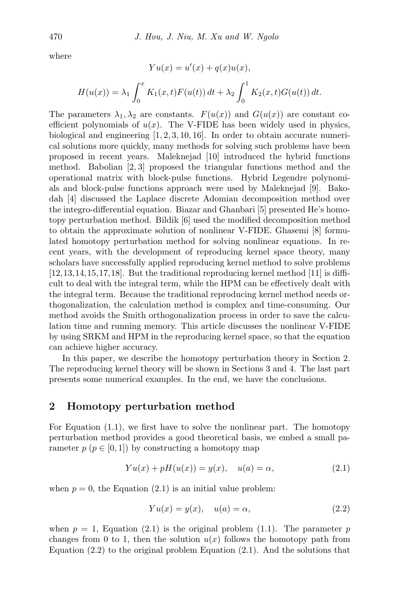where

$$
Yu(x) = u'(x) + q(x)u(x),
$$
  

$$
H(u(x)) = \lambda_1 \int_0^x K_1(x, t)F(u(t)) dt + \lambda_2 \int_0^1 K_2(x, t)G(u(t)) dt.
$$

The parameters  $\lambda_1, \lambda_2$  are constants.  $F(u(x))$  and  $G(u(x))$  are constant coefficient polynomials of  $u(x)$ . The V-FIDE has been widely used in physics, biological and engineering  $[1, 2, 3, 10, 16]$  $[1, 2, 3, 10, 16]$  $[1, 2, 3, 10, 16]$  $[1, 2, 3, 10, 16]$  $[1, 2, 3, 10, 16]$  $[1, 2, 3, 10, 16]$  $[1, 2, 3, 10, 16]$  $[1, 2, 3, 10, 16]$  $[1, 2, 3, 10, 16]$ . In order to obtain accurate numerical solutions more quickly, many methods for solving such problems have been proposed in recent years. Maleknejad [\[10\]](#page-8-3) introduced the hybrid functions method. Babolian [\[2,](#page-8-1) [3\]](#page-8-2) proposed the triangular functions method and the operational matrix with block-pulse functions. Hybrid Legendre polynomials and block-pulse functions approach were used by Maleknejad [\[9\]](#page-8-4). Bakodah [\[4\]](#page-8-5) discussed the Laplace discrete Adomian decomposition method over the integro-differential equation. Biazar and Ghanbari [\[5\]](#page-8-6) presented He's homotopy perturbation method. Bildik [\[6\]](#page-8-7) used the modified decomposition method to obtain the approximate solution of nonlinear V-FIDE. Ghasemi [\[8\]](#page-8-8) formulated homotopy perturbation method for solving nonlinear equations. In recent years, with the development of reproducing kernel space theory, many scholars have successfully applied reproducing kernel method to solve problems  $[12,13,14,15,17,18]$  $[12,13,14,15,17,18]$  $[12,13,14,15,17,18]$  $[12,13,14,15,17,18]$  $[12,13,14,15,17,18]$  $[12,13,14,15,17,18]$ . But the traditional reproducing kernel method  $[11]$  is difficult to deal with the integral term, while the HPM can be effectively dealt with the integral term. Because the traditional reproducing kernel method needs orthogonalization, the calculation method is complex and time-consuming. Our method avoids the Smith orthogonalization process in order to save the calculation time and running memory. This article discusses the nonlinear V-FIDE by using SRKM and HPM in the reproducing kernel space, so that the equation can achieve higher accuracy.

In this paper, we describe the homotopy perturbation theory in Section 2. The reproducing kernel theory will be shown in Sections 3 and 4. The last part presents some numerical examples. In the end, we have the conclusions.

#### 2 Homotopy perturbation method

For Equation [\(1.1\)](#page-0-0), we first have to solve the nonlinear part. The homotopy perturbation method provides a good theoretical basis, we embed a small parameter  $p (p \in [0, 1])$  by constructing a homotopy map

$$
Yu(x) + pH(u(x)) = y(x), \quad u(a) = \alpha,
$$
 (2.1)

when  $p = 0$ , the Equation [\(2.1\)](#page-1-0) is an initial value problem:

<span id="page-1-1"></span><span id="page-1-0"></span>
$$
Yu(x) = y(x), \quad u(a) = \alpha,\tag{2.2}
$$

when  $p = 1$ , Equation [\(2.1\)](#page-1-0) is the original problem (1.1). The parameter p changes from 0 to 1, then the solution  $u(x)$  follows the homotopy path from Equation  $(2.2)$  to the original problem Equation  $(2.1)$ . And the solutions that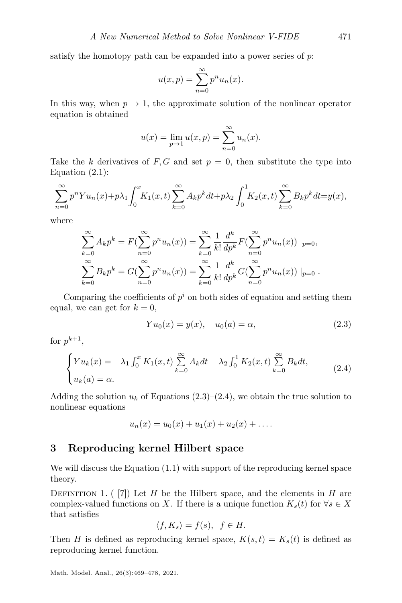satisfy the homotopy path can be expanded into a power series of  $p$ :

$$
u(x,p) = \sum_{n=0}^{\infty} p^n u_n(x).
$$

In this way, when  $p \to 1$ , the approximate solution of the nonlinear operator equation is obtained

$$
u(x) = \lim_{p \to 1} u(x, p) = \sum_{n=0}^{\infty} u_n(x).
$$

Take the k derivatives of  $F, G$  and set  $p = 0$ , then substitute the type into Equation  $(2.1)$ :

$$
\sum_{n=0}^{\infty} p^n Y u_n(x) + p \lambda_1 \int_0^x K_1(x,t) \sum_{k=0}^{\infty} A_k p^k dt + p \lambda_2 \int_0^1 K_2(x,t) \sum_{k=0}^{\infty} B_k p^k dt = y(x),
$$

where

$$
\sum_{k=0}^{\infty} A_k p^k = F(\sum_{n=0}^{\infty} p^n u_n(x)) = \sum_{k=0}^{\infty} \frac{1}{k!} \frac{d^k}{dp^k} F(\sum_{n=0}^{\infty} p^n u_n(x)) |_{p=0},
$$
  

$$
\sum_{k=0}^{\infty} B_k p^k = G(\sum_{n=0}^{\infty} p^n u_n(x)) = \sum_{k=0}^{\infty} \frac{1}{k!} \frac{d^k}{dp^k} G(\sum_{n=0}^{\infty} p^n u_n(x)) |_{p=0}.
$$

Comparing the coefficients of  $p<sup>i</sup>$  on both sides of equation and setting them equal, we can get for  $k = 0$ ,

<span id="page-2-0"></span>
$$
Yu_0(x) = y(x), \quad u_0(a) = \alpha,
$$
 (2.3)

for  $p^{k+1}$ ,

<span id="page-2-1"></span>
$$
\begin{cases}\nYu_k(x) = -\lambda_1 \int_0^x K_1(x,t) \sum_{k=0}^\infty A_k dt - \lambda_2 \int_0^1 K_2(x,t) \sum_{k=0}^\infty B_k dt, \\
u_k(a) = \alpha.\n\end{cases} \tag{2.4}
$$

Adding the solution  $u_k$  of Equations [\(2.3\)](#page-2-0)–[\(2.4\)](#page-2-1), we obtain the true solution to nonlinear equations

$$
u_n(x) = u_0(x) + u_1(x) + u_2(x) + \dots
$$

#### 3 Reproducing kernel Hilbert space

We will discuss the Equation [\(1.1\)](#page-0-0) with support of the reproducing kernel space theory.

DEFINITION 1. ( $[7]$ ) Let H be the Hilbert space, and the elements in H are complex-valued functions on X. If there is a unique function  $K_s(t)$  for  $\forall s \in X$ that satisfies

$$
\langle f, K_s \rangle = f(s), \ f \in H.
$$

Then H is defined as reproducing kernel space,  $K(s,t) = K_s(t)$  is defined as reproducing kernel function.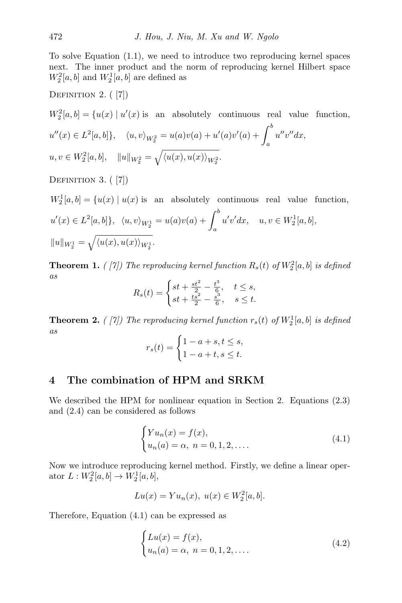To solve Equation [\(1.1\)](#page-0-0), we need to introduce two reproducing kernel spaces next. The inner product and the norm of reproducing kernel Hilbert space  $W_2^2[a, b]$  and  $W_2^1[a, b]$  are defined as

DEFINITION 2. ([\[7\]](#page-8-9))

 $W_2^2[a, b] = \{u(x) | u'(x)$  is an absolutely continuous real value function,  $u''(x) \in L^2[a, b]$ ,  $\langle u, v \rangle_{W_2^2} = u(a)v(a) + u'(a)v'(a) + \int_a^b$ a  $u''v''dx,$  $u, v \in W_2^2[a, b], \quad \|u\|_{W_2^2} = \sqrt{\langle u(x), u(x) \rangle_{W_2^2}}.$ 

DEFINITION 3. ([\[7\]](#page-8-9))

 $W_2^1[a, b] = \{u(x) | u(x)$  is an absolutely continuous real value function,  $u'(x) \in L^2[a, b]$ ,  $\langle u, v \rangle_{W_2^1} = u(a)v(a) + \int_a^b$ a  $u'v'dx, \quad u, v \in W_2^1[a, b],$  $||u||_{W_2^1} = \sqrt{\langle u(x), u(x) \rangle_{W_2^1}}.$ 

**Theorem 1.** (*[\[7\]](#page-8-9))* The reproducing kernel function  $R_s(t)$  of  $W_2^2[a, b]$  is defined as

$$
R_s(t) = \begin{cases} st + \frac{st^2}{2} - \frac{t^3}{6}, & t \le s, \\ st + \frac{ts^2}{2} - \frac{s^3}{6}, & s \le t. \end{cases}
$$

**Theorem 2.** (*[\[7\]](#page-8-9))* The reproducing kernel function  $r_s(t)$  of  $W_2^1[a, b]$  is defined as

$$
r_s(t) = \begin{cases} 1 - a + s, t \le s, \\ 1 - a + t, s \le t. \end{cases}
$$

#### 4 The combination of HPM and SRKM

We described the HPM for nonlinear equation in Section 2. Equations [\(2.3\)](#page-2-0) and [\(2.4\)](#page-2-1) can be considered as follows

<span id="page-3-0"></span>
$$
\begin{cases} Yu_n(x) = f(x), \\ u_n(a) = \alpha, \ n = 0, 1, 2, \dots \end{cases}
$$
 (4.1)

Now we introduce reproducing kernel method. Firstly, we define a linear operator  $L: W_2^2[a, b] \to W_2^1[a, b],$ 

$$
Lu(x) = Yu_n(x), \ u(x) \in W_2^2[a, b].
$$

Therefore, Equation [\(4.1\)](#page-3-0) can be expressed as

<span id="page-3-1"></span>
$$
\begin{cases}\nLu(x) = f(x), \\
u_n(a) = \alpha, \ n = 0, 1, 2, \dots.\n\end{cases}
$$
\n(4.2)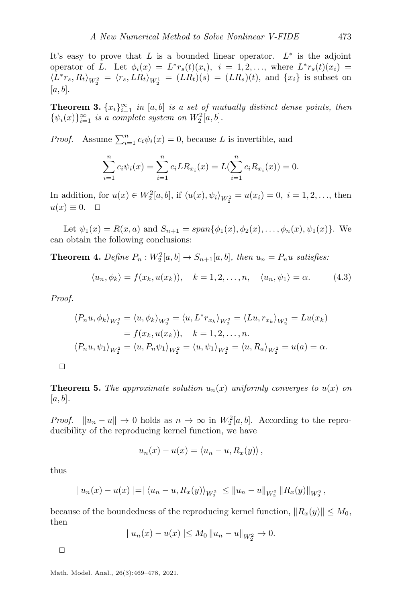It's easy to prove that  $L$  is a bounded linear operator.  $L^*$  is the adjoint operator of L. Let  $\phi_i(x) = L^* r_s(t)(x_i)$ ,  $i = 1, 2, \ldots$ , where  $L^* r_s(t)(x_i) =$  $\langle L^*r_s, R_t \rangle_{W_2^2} = \langle r_s, LR_t \rangle_{W_2^1} = (LR_t)(s) = (LR_s)(t)$ , and  $\{x_i\}$  is subset on  $[a, b]$ .

**Theorem 3.**  $\{x_i\}_{i=1}^{\infty}$  in [a, b] is a set of mutually distinct dense points, then  $\{\psi_i(x)\}_{i=1}^{\infty}$  is a complete system on  $W_2^2[a,b]$ .

*Proof.* Assume  $\sum_{i=1}^{n} c_i \psi_i(x) = 0$ , because L is invertible, and

$$
\sum_{i=1}^{n} c_i \psi_i(x) = \sum_{i=1}^{n} c_i L R_{x_i}(x) = L(\sum_{i=1}^{n} c_i R_{x_i}(x)) = 0.
$$

In addition, for  $u(x) \in W_2^2[a, b]$ , if  $\langle u(x), \psi_i \rangle_{W_2^2} = u(x_i) = 0, i = 1, 2, ...,$  then  $u(x) \equiv 0. \quad \Box$ 

Let  $\psi_1(x) = R(x, a)$  and  $S_{n+1} = span{\phi_1(x), \phi_2(x), \dots, \phi_n(x), \psi_1(x)}$ . We can obtain the following conclusions:

**Theorem 4.** Define  $P_n: W_2^2[a, b] \to S_{n+1}[a, b]$ , then  $u_n = P_n u$  satisfies:

<span id="page-4-0"></span>
$$
\langle u_n, \phi_k \rangle = f(x_k, u(x_k)), \quad k = 1, 2, \dots, n, \quad \langle u_n, \psi_1 \rangle = \alpha. \tag{4.3}
$$

Proof.

$$
\langle P_n u, \phi_k \rangle_{W_2^2} = \langle u, \phi_k \rangle_{W_2^2} = \langle u, L^* r_{x_k} \rangle_{W_2^2} = \langle Lu, r_{x_k} \rangle_{W_2^1} = Lu(x_k)
$$
  
=  $f(x_k, u(x_k)), \quad k = 1, 2, ..., n.$   

$$
\langle P_n u, \psi_1 \rangle_{W_2^2} = \langle u, P_n \psi_1 \rangle_{W_2^2} = \langle u, \psi_1 \rangle_{W_2^2} = \langle u, R_a \rangle_{W_2^2} = u(a) = \alpha.
$$

 $\Box$ 

**Theorem 5.** The approximate solution  $u_n(x)$  uniformly converges to  $u(x)$  on  $[a, b]$ .

*Proof.*  $||u_n - u|| \to 0$  holds as  $n \to \infty$  in  $W_2^2[a, b]$ . According to the reproducibility of the reproducing kernel function, we have

$$
u_n(x) - u(x) = \langle u_n - u, R_x(y) \rangle,
$$

thus

$$
| u_n(x) - u(x) | = | \langle u_n - u, R_x(y) \rangle_{W_2^2} | \leq ||u_n - u||_{W_2^2} ||R_x(y)||_{W_2^2},
$$

because of the boundedness of the reproducing kernel function,  $||R_x(y)|| \le M_0$ , then

$$
|u_n(x) - u(x)| \le M_0 ||u_n - u||_{W_2^2} \to 0.
$$

 $\Box$ 

Math. Model. Anal., 26(3):469–478, 2021.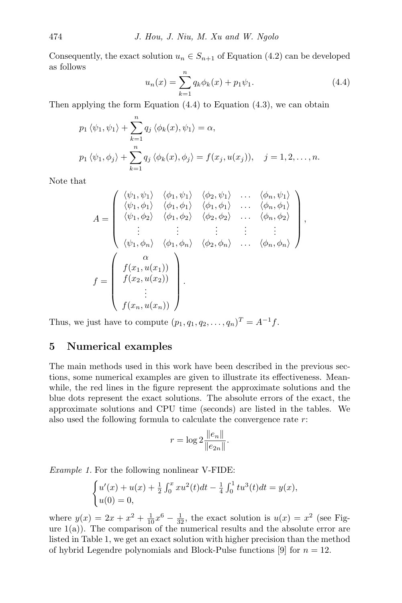<span id="page-5-0"></span>Consequently, the exact solution  $u_n \in S_{n+1}$  of Equation [\(4.2\)](#page-3-1) can be developed as follows

$$
u_n(x) = \sum_{k=1}^n q_k \phi_k(x) + p_1 \psi_1.
$$
 (4.4)

Then applying the form Equation  $(4.4)$  to Equation  $(4.3)$ , we can obtain

$$
p_1 \langle \psi_1, \psi_1 \rangle + \sum_{k=1}^n q_j \langle \phi_k(x), \psi_1 \rangle = \alpha,
$$
  

$$
p_1 \langle \psi_1, \phi_j \rangle + \sum_{k=1}^n q_j \langle \phi_k(x), \phi_j \rangle = f(x_j, u(x_j)), \quad j = 1, 2, \dots, n.
$$

Note that

$$
A = \begin{pmatrix} \langle \psi_1, \psi_1 \rangle & \langle \phi_1, \psi_1 \rangle & \langle \phi_2, \psi_1 \rangle & \dots & \langle \phi_n, \psi_1 \rangle \\ \langle \psi_1, \phi_1 \rangle & \langle \phi_1, \phi_1 \rangle & \langle \phi_1, \phi_1 \rangle & \dots & \langle \phi_n, \phi_1 \rangle \\ \langle \psi_1, \phi_2 \rangle & \langle \phi_1, \phi_2 \rangle & \langle \phi_2, \phi_2 \rangle & \dots & \langle \phi_n, \phi_2 \rangle \\ \vdots & \vdots & \vdots & \vdots & \vdots \\ \langle \psi_1, \phi_n \rangle & \langle \phi_1, \phi_n \rangle & \langle \phi_2, \phi_n \rangle & \dots & \langle \phi_n, \phi_n \rangle \end{pmatrix},
$$

$$
f = \begin{pmatrix} \alpha \\ f(x_1, u(x_1)) \\ f(x_2, u(x_2)) \\ \vdots \\ f(x_n, u(x_n)) \end{pmatrix}.
$$

Thus, we just have to compute  $(p_1, q_1, q_2, \ldots, q_n)^T = A^{-1}f$ .

### 5 Numerical examples

The main methods used in this work have been described in the previous sections, some numerical examples are given to illustrate its effectiveness. Meanwhile, the red lines in the figure represent the approximate solutions and the blue dots represent the exact solutions. The absolute errors of the exact, the approximate solutions and CPU time (seconds) are listed in the tables. We also used the following formula to calculate the convergence rate r:

$$
r = \log 2 \frac{\|e_n\|}{\|e_{2n}\|}.
$$

Example 1. For the following nonlinear V-FIDE:

$$
\begin{cases} u'(x) + u(x) + \frac{1}{2} \int_0^x x u^2(t) dt - \frac{1}{4} \int_0^1 t u^3(t) dt = y(x), \\ u(0) = 0, \end{cases}
$$

where  $y(x) = 2x + x^2 + \frac{1}{10}x^6 - \frac{1}{32}$ , the exact solution is  $u(x) = x^2$  (see Figure  $1(a)$  $1(a)$ ). The comparison of the numerical results and the absolute error are listed in Table [1,](#page-6-1) we get an exact solution with higher precision than the method of hybrid Legendre polynomials and Block-Pulse functions [\[9\]](#page-8-4) for  $n = 12$ .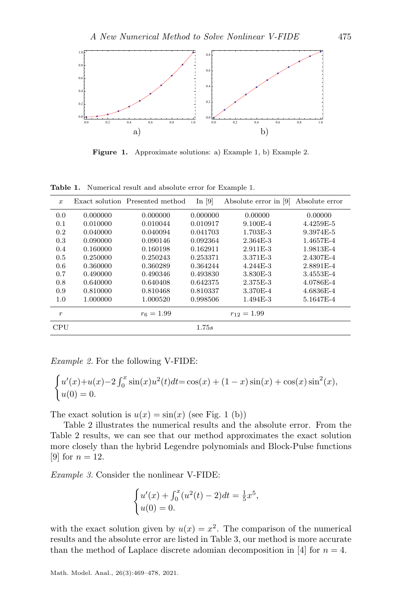<span id="page-6-0"></span>

Figure 1. Approximate solutions: a) Example 1, b) Example 2.

| $\boldsymbol{x}$ |          | Exact solution Presented method | In $[9]$ | Absolute error in [9] | Absolute error |
|------------------|----------|---------------------------------|----------|-----------------------|----------------|
| 0.0              | 0.000000 | 0.000000                        | 0.000000 | 0.00000               | 0.00000        |
| 0.1              | 0.010000 | 0.010044                        | 0.010917 | $9.100E-4$            | 4.4259E-5      |
| 0.2              | 0.040000 | 0.040094                        | 0.041703 | 1.703E-3              | 9.3974E-5      |
| 0.3              | 0.090000 | 0.090146                        | 0.092364 | 2.364E-3              | 1.4657E-4      |
| 0.4              | 0.160000 | 0.160198                        | 0.162911 | 2.911E-3              | 1.9813E-4      |
| 0.5              | 0.250000 | 0.250243                        | 0.253371 | 3.371E-3              | 2.4307E-4      |
| 0.6              | 0.360000 | 0.360289                        | 0.364244 | $4.244E - 3$          | 2.8891E-4      |
| 0.7              | 0.490000 | 0.490346                        | 0.493830 | 3.830E-3              | 3.4553E-4      |
| 0.8              | 0.640000 | 0.640408                        | 0.642375 | 2.375E-3              | 4.0786E-4      |
| 0.9              | 0.810000 | 0.810468                        | 0.810337 | 3.370E-4              | 4.6836E-4      |
| 1.0              | 1.000000 | 1.000520                        | 0.998506 | 1.494E-3              | 5.1647E-4      |
| $\boldsymbol{r}$ |          | $r_6 = 1.99$                    |          | $r_{12} = 1.99$       |                |
| <b>CPU</b>       |          |                                 | 1.75s    |                       |                |

<span id="page-6-1"></span>Table 1. Numerical result and absolute error for Example 1.

Example 2. For the following V-FIDE:

$$
\begin{cases} u'(x) + u(x) - 2 \int_0^x \sin(x) u^2(t) dt = \cos(x) + (1 - x) \sin(x) + \cos(x) \sin^2(x), \\ u(0) = 0. \end{cases}
$$

The exact solution is  $u(x) = \sin(x)$  (see Fig. [1](#page-6-0) (b))

Table [2](#page-7-0) illustrates the numerical results and the absolute error. From the Table [2](#page-7-0) results, we can see that our method approximates the exact solution more closely than the hybrid Legendre polynomials and Block-Pulse functions [\[9\]](#page-8-4) for  $n = 12$ .

Example 3. Consider the nonlinear V-FIDE:

$$
\begin{cases} u'(x) + \int_0^x (u^2(t) - 2) dt = \frac{1}{5}x^5, \\ u(0) = 0. \end{cases}
$$

with the exact solution given by  $u(x) = x^2$ . The comparison of the numerical results and the absolute error are listed in Table [3,](#page-7-1) our method is more accurate than the method of Laplace discrete adomian decomposition in [\[4\]](#page-8-5) for  $n = 4$ .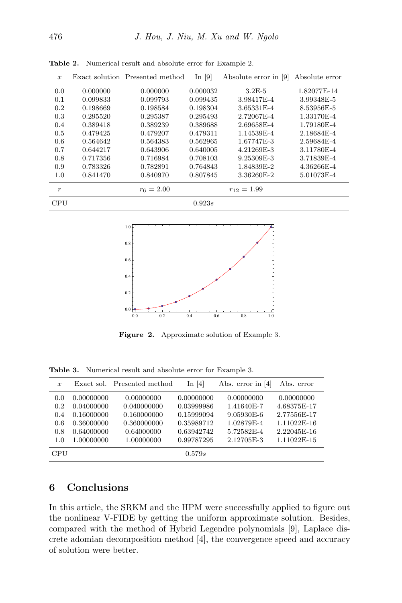| $\boldsymbol{x}$ |          | Exact solution Presented method | In $[9]$ | Absolute error in [9] | Absolute error |
|------------------|----------|---------------------------------|----------|-----------------------|----------------|
| 0.0              | 0.000000 | 0.000000                        | 0.000032 | $3.2E-5$              | 1.82077E-14    |
| 0.1              | 0.099833 | 0.099793                        | 0.099435 | 3.98417E-4            | 3.99348E-5     |
| 0.2              | 0.198669 | 0.198584                        | 0.198304 | 3.65331E-4            | 8.53956E-5     |
| 0.3              | 0.295520 | 0.295387                        | 0.295493 | 2.72067E-4            | 1.33170E-4     |
| 0.4              | 0.389418 | 0.389239                        | 0.389688 | 2.69658E-4            | 1.79180E-4     |
| 0.5              | 0.479425 | 0.479207                        | 0.479311 | 1.14539E-4            | 2.18684E-4     |
| 0.6              | 0.564642 | 0.564383                        | 0.562965 | 1.67747E-3            | 2.59684E-4     |
| 0.7              | 0.644217 | 0.643906                        | 0.640005 | 4.21269E-3            | 3.11780E-4     |
| 0.8              | 0.717356 | 0.716984                        | 0.708103 | 9.25309E-3            | 3.71839E-4     |
| 0.9              | 0.783326 | 0.782891                        | 0.764843 | 1.84839E-2            | 4.36266E-4     |
| 1.0              | 0.841470 | 0.840970                        | 0.807845 | 3.36260E-2            | 5.01073E-4     |
| $\boldsymbol{r}$ |          | $r_6 = 2.00$                    |          | $r_{12} = 1.99$       |                |
| <b>CPU</b>       |          |                                 | 0.923s   |                       |                |

<span id="page-7-0"></span>Table 2. Numerical result and absolute error for Example 2.



Figure 2. Approximate solution of Example 3.

<span id="page-7-1"></span>Table 3. Numerical result and absolute error for Example 3.

| $\boldsymbol{x}$ | Exact sol. | Presented method | In $[4]$   | Abs. error in $[4]$ | Abs. error  |
|------------------|------------|------------------|------------|---------------------|-------------|
| 0.0              | 0.00000000 | 0.00000000       | 0.00000000 | 0.00000000          | 0.00000000  |
| 0.2              | 0.04000000 | 0.040000000      | 0.03999986 | 1.41640E-7          | 4.68375E-17 |
| 0.4              | 0.16000000 | 0.160000000      | 0.15999094 | 9.05930E-6          | 2.77556E-17 |
| 0.6              | 0.36000000 | 0.360000000      | 0.35989712 | 1.02879E-4          | 1.11022E-16 |
| 0.8              | 0.64000000 | 0.64000000       | 0.63942742 | 5.72582E-4          | 2.22045E-16 |
| 1.0              | 1.00000000 | 1.00000000       | 0.99787295 | 2.12705E-3          | 1.11022E-15 |
| CPU              |            |                  | 0.579s     |                     |             |

## 6 Conclusions

In this article, the SRKM and the HPM were successfully applied to figure out the nonlinear V-FIDE by getting the uniform approximate solution. Besides, compared with the method of Hybrid Legendre polynomials [\[9\]](#page-8-4), Laplace discrete adomian decomposition method [\[4\]](#page-8-5), the convergence speed and accuracy of solution were better.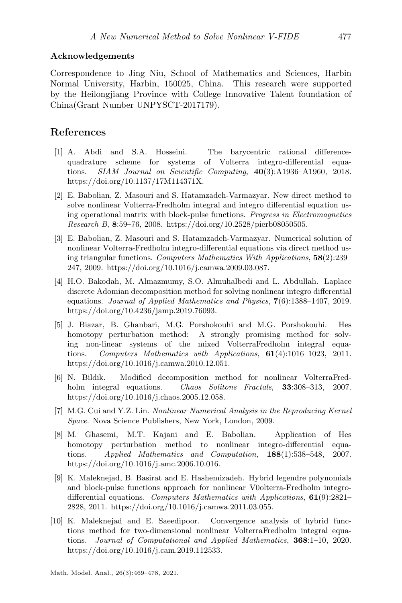#### Acknowledgements

Correspondence to Jing Niu, School of Mathematics and Sciences, Harbin Normal University, Harbin, 150025, China. This research were supported by the Heilongjiang Province with College Innovative Talent foundation of China(Grant Number UNPYSCT-2017179).

#### References

- <span id="page-8-0"></span>[1] A. Abdi and S.A. Hosseini. The barycentric rational differencequadrature scheme for systems of Volterra integro-differential equations. SIAM Journal on Scientific Computing, 40(3):A1936–A1960, 2018. [https://doi.org/10.1137/17M114371X.](https://doi.org/10.1137/17M114371X)
- <span id="page-8-1"></span>[2] E. Babolian, Z. Masouri and S. Hatamzadeh-Varmazyar. New direct method to solve nonlinear Volterra-Fredholm integral and integro differential equation using operational matrix with block-pulse functions. Progress in Electromagnetics Research B, 8:59–76, 2008. [https://doi.org/10.2528/pierb08050505.](https://doi.org/10.2528/pierb08050505)
- <span id="page-8-2"></span>[3] E. Babolian, Z. Masouri and S. Hatamzadeh-Varmazyar. Numerical solution of nonlinear Volterra-Fredholm integro-differential equations via direct method using triangular functions. Computers Mathematics With Applications, 58(2):239– 247, 2009. [https://doi.org/10.1016/j.camwa.2009.03.087.](https://doi.org/10.1016/j.camwa.2009.03.087)
- <span id="page-8-5"></span>[4] H.O. Bakodah, M. Almazmumy, S.O. Almuhalbedi and L. Abdullah. Laplace discrete Adomian decomposition method for solving nonlinear integro differential equations. Journal of Applied Mathematics and Physics, 7(6):1388–1407, 2019. [https://doi.org/10.4236/jamp.2019.76093.](https://doi.org/10.4236/jamp.2019.76093)
- <span id="page-8-6"></span>[5] J. Biazar, B. Ghanbari, M.G. Porshokouhi and M.G. Porshokouhi. Hes homotopy perturbation method: A strongly promising method for solving non-linear systems of the mixed VolterraFredholm integral equations. Computers Mathematics with Applications, 61(4):1016–1023, 2011. [https://doi.org/10.1016/j.camwa.2010.12.051.](https://doi.org/10.1016/j.camwa.2010.12.051)
- <span id="page-8-7"></span>[6] N. Bildik. Modified decomposition method for nonlinear VolterraFredholm integral equations. Chaos Solitons Fractals, 33:308-313, 2007. [https://doi.org/10.1016/j.chaos.2005.12.058.](https://doi.org/10.1016/j.chaos.2005.12.058)
- <span id="page-8-9"></span>[7] M.G. Cui and Y.Z. Lin. Nonlinear Numerical Analysis in the Reproducing Kernel Space. Nova Science Publishers, New York, London, 2009.
- <span id="page-8-8"></span>[8] M. Ghasemi, M.T. Kajani and E. Babolian. Application of Hes homotopy perturbation method to nonlinear integro-differential equations. Applied Mathematics and Computation, 188(1):538–548, 2007. [https://doi.org/10.1016/j.amc.2006.10.016.](https://doi.org/10.1016/j.amc.2006.10.016)
- <span id="page-8-4"></span>[9] K. Maleknejad, B. Basirat and E. Hashemizadeh. Hybrid legendre polynomials and block-pulse functions approach for nonlinear V0olterra-Fredholm integrodifferential equations. Computers Mathematics with Applications, 61(9):2821– 2828, 2011. [https://doi.org/10.1016/j.camwa.2011.03.055.](https://doi.org/10.1016/j.camwa.2011.03.055)
- <span id="page-8-3"></span>[10] K. Maleknejad and E. Saeedipoor. Convergence analysis of hybrid functions method for two-dimensional nonlinear VolterraFredholm integral equations. Journal of Computational and Applied Mathematics, 368:1–10, 2020. [https://doi.org/10.1016/j.cam.2019.112533.](https://doi.org/10.1016/j.cam.2019.112533)